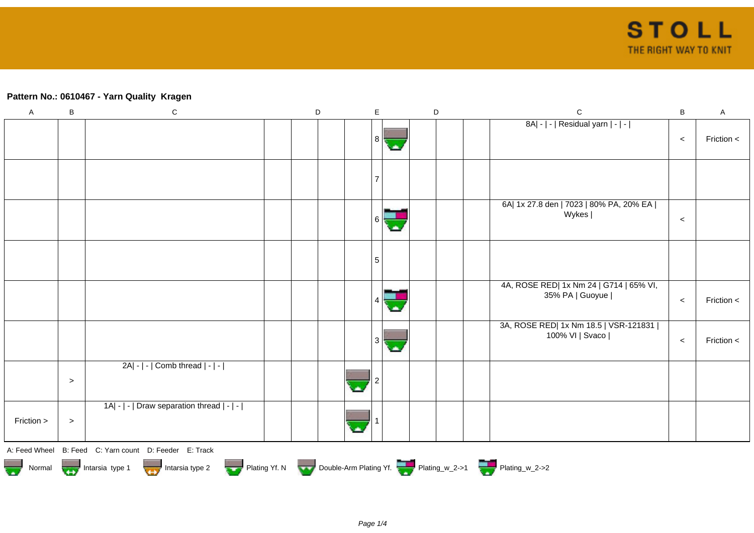## **Pattern No.: 0610467 - Yarn Quality Kragen**

| $\mathsf A$ | $\sf B$ | ${\bf C}$                                                                        | D | $\mathsf E$     | $\mathsf D$ | $\mathsf{C}$                                               | $\sf B$ | $\sf A$        |
|-------------|---------|----------------------------------------------------------------------------------|---|-----------------|-------------|------------------------------------------------------------|---------|----------------|
|             |         |                                                                                  |   | 8               |             | 8A  -   -   Residual yarn   -   -                          | $\,<\,$ | Friction $\lt$ |
|             |         |                                                                                  |   | $\overline{7}$  |             |                                                            |         |                |
|             |         |                                                                                  |   |                 |             | 6A  1x 27.8 den   7023   80% PA, 20% EA  <br>Wykes         | $\,<$   |                |
|             |         |                                                                                  |   | $5\phantom{.0}$ |             |                                                            |         |                |
|             |         |                                                                                  |   |                 |             | 4A, ROSE RED  1x Nm 24   G714   65% VI,<br>35% PA   Guoyue | $\,<\,$ | Friction <     |
|             |         |                                                                                  |   |                 |             | 3A, ROSE RED  1x Nm 18.5   VSR-121831  <br>100% VI   Svaco | $\,<$   | Friction <     |
|             | $\,>$   | 2A  -   -   Comb thread   -   -                                                  |   |                 |             |                                                            |         |                |
| Friction >  | $\, >$  | 1A  -   -   Draw separation thread   -   -                                       |   |                 |             |                                                            |         |                |
|             |         | A: Feed Wheel B: Feed C: Yarn count D: Feeder E: Track                           |   |                 |             |                                                            |         |                |
|             |         | Normal More Intarsia type 1 Intarsia type 2 Plating Yf. N Double-Arm Plating Yf. |   |                 |             |                                                            |         |                |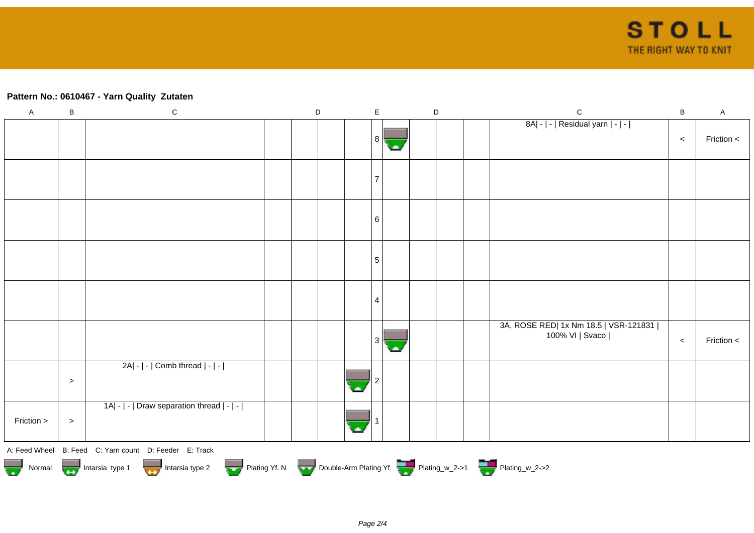## **Pattern No.: 0610467 - Yarn Quality Zutaten**

| $\mathsf A$ | B         | ${\bf C}$                                                                                                                                      | $\mathsf D$ | $\mathsf E$ | $\mathsf D$ | $\mathsf C$                                                | $\sf B$ | $\mathsf{A}$ |
|-------------|-----------|------------------------------------------------------------------------------------------------------------------------------------------------|-------------|-------------|-------------|------------------------------------------------------------|---------|--------------|
|             |           |                                                                                                                                                |             | 81          |             | 8A  -   -   Residual yarn   -   -                          | $\,<$   | Friction <   |
|             |           |                                                                                                                                                |             |             |             |                                                            |         |              |
|             |           |                                                                                                                                                |             | 6           |             |                                                            |         |              |
|             |           |                                                                                                                                                |             | 5           |             |                                                            |         |              |
|             |           |                                                                                                                                                |             | 4           |             |                                                            |         |              |
|             |           |                                                                                                                                                |             |             |             | 3A, ROSE RED  1x Nm 18.5   VSR-121831  <br>100% VI   Svaco | $\,<$   | Friction $<$ |
|             | $\, > \,$ | 2A  -   -   Comb thread   -   -                                                                                                                |             |             |             |                                                            |         |              |
| Friction >  | $\, >$    | 1A  -   -   Draw separation thread   -   -                                                                                                     |             |             |             |                                                            |         |              |
|             |           | A: Feed Wheel B: Feed C: Yarn count D: Feeder E: Track<br>Normal Montain Strategy Intarsia type 2 but are Plating Yf. N Double-Arm Plating Yf. |             |             |             |                                                            |         |              |
|             |           |                                                                                                                                                |             |             |             |                                                            |         |              |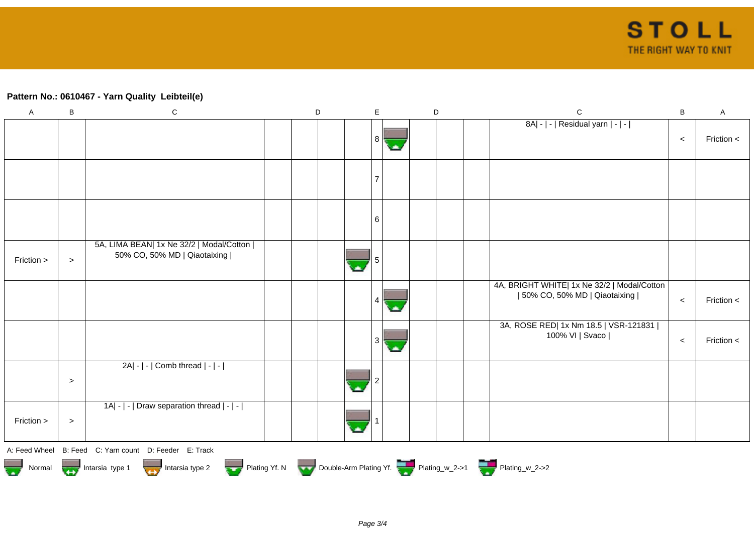## **Pattern No.: 0610467 - Yarn Quality Leibteil(e)**

| $\mathsf A$ | В      | ${\bf C}$                                                                                                                                            | D | E |    | D |  | $\mathsf C$                                                                   | $\, {\bf B}$ | $\mathsf{A}$ |
|-------------|--------|------------------------------------------------------------------------------------------------------------------------------------------------------|---|---|----|---|--|-------------------------------------------------------------------------------|--------------|--------------|
|             |        |                                                                                                                                                      |   | 8 | С. |   |  | 8A  -   -   Residual yarn   -   -                                             | $\,<\,$      | Friction <   |
|             |        |                                                                                                                                                      |   |   |    |   |  |                                                                               |              |              |
|             |        |                                                                                                                                                      |   | 6 |    |   |  |                                                                               |              |              |
| Friction >  | $\, >$ | 5A, LIMA BEAN  1x Ne 32/2   Modal/Cotton  <br>50% CO, 50% MD   Qiaotaixing                                                                           |   |   |    |   |  |                                                                               |              |              |
|             |        |                                                                                                                                                      |   |   |    |   |  | 4A, BRIGHT WHITE  1x Ne 32/2   Modal/Cotton<br>  50% CO, 50% MD   Qiaotaixing | $\prec$      | Friction <   |
|             |        |                                                                                                                                                      |   | 3 | ٠  |   |  | 3A, ROSE RED  1x Nm 18.5   VSR-121831  <br>100% VI   Svaco                    | $\,<$        | Friction <   |
|             | $\geq$ | $2A - $ - $ $ Comb thread $ - $ - $ $                                                                                                                |   |   |    |   |  |                                                                               |              |              |
| Friction >  | $\,>$  | 1A  -   -   Draw separation thread   -   -                                                                                                           |   |   |    |   |  |                                                                               |              |              |
|             |        | A: Feed Wheel B: Feed C: Yarn count D: Feeder E: Track<br>Normal Intarsia type 1 Intarsia type 2 Plating Yf. N Double-Arm Plating Yf. Thating_w_2->1 |   |   |    |   |  |                                                                               |              |              |